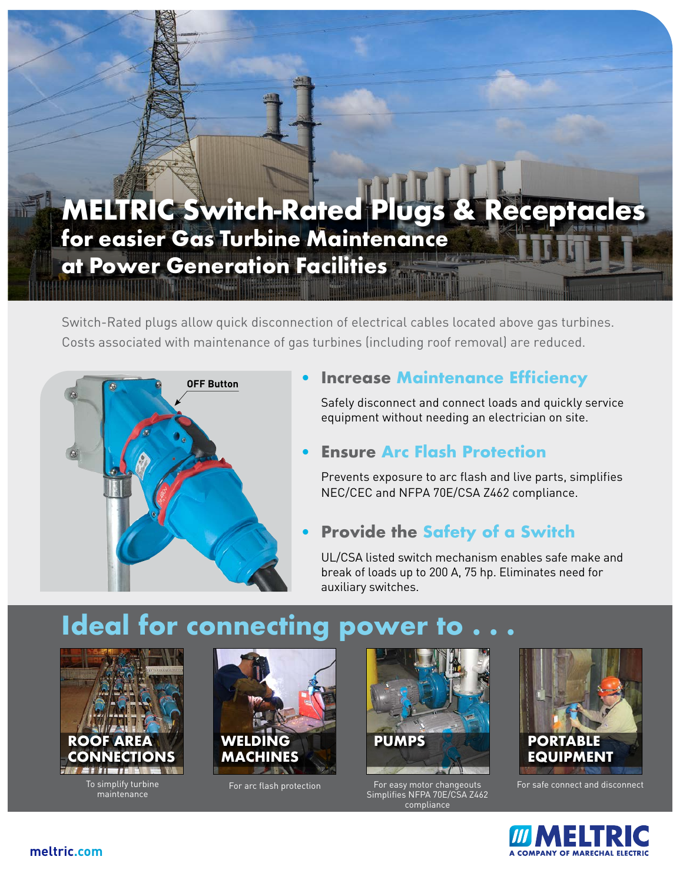## **MELTRIC Switch-Rated Plugs & Receptacles for easier Gas Turbine Maintenance at Power Generation Facilities**

Switch-Rated plugs allow quick disconnection of electrical cables located above gas turbines. Costs associated with maintenance of gas turbines (including roof removal) are reduced.



## **Increase Maintenance Efficiency**

Safely disconnect and connect loads and quickly service equipment without needing an electrician on site.

### • **Ensure Arc Flash Protection**

Prevents exposure to arc flash and live parts, simplifies NEC/CEC and NFPA 70E/CSA Z462 compliance.

## • **Provide the Safety of a Switch**

UL/CSA listed switch mechanism enables safe make and break of loads up to 200 A, 75 hp. Eliminates need for auxiliary switches.

# **Ideal for connecting power**



To simplify turbine maintenance





For arc flash protection For easy motor changeouts Simplifies NFPA 70E/CSA Z462 compliance



For safe connect and disconnect